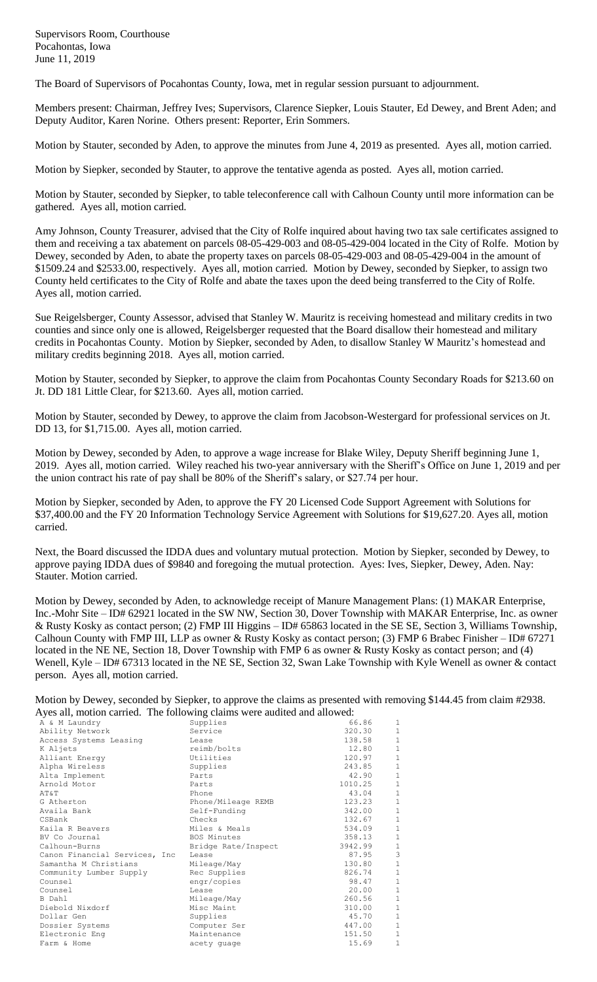Supervisors Room, Courthouse Pocahontas, Iowa June 11, 2019

The Board of Supervisors of Pocahontas County, Iowa, met in regular session pursuant to adjournment.

Members present: Chairman, Jeffrey Ives; Supervisors, Clarence Siepker, Louis Stauter, Ed Dewey, and Brent Aden; and Deputy Auditor, Karen Norine. Others present: Reporter, Erin Sommers.

Motion by Stauter, seconded by Aden, to approve the minutes from June 4, 2019 as presented. Ayes all, motion carried.

Motion by Siepker, seconded by Stauter, to approve the tentative agenda as posted. Ayes all, motion carried.

Motion by Stauter, seconded by Siepker, to table teleconference call with Calhoun County until more information can be gathered. Ayes all, motion carried.

Amy Johnson, County Treasurer, advised that the City of Rolfe inquired about having two tax sale certificates assigned to them and receiving a tax abatement on parcels 08-05-429-003 and 08-05-429-004 located in the City of Rolfe. Motion by Dewey, seconded by Aden, to abate the property taxes on parcels 08-05-429-003 and 08-05-429-004 in the amount of \$1509.24 and \$2533.00, respectively. Ayes all, motion carried. Motion by Dewey, seconded by Siepker, to assign two County held certificates to the City of Rolfe and abate the taxes upon the deed being transferred to the City of Rolfe. Ayes all, motion carried.

Sue Reigelsberger, County Assessor, advised that Stanley W. Mauritz is receiving homestead and military credits in two counties and since only one is allowed, Reigelsberger requested that the Board disallow their homestead and military credits in Pocahontas County. Motion by Siepker, seconded by Aden, to disallow Stanley W Mauritz's homestead and military credits beginning 2018. Ayes all, motion carried.

Motion by Stauter, seconded by Siepker, to approve the claim from Pocahontas County Secondary Roads for \$213.60 on Jt. DD 181 Little Clear, for \$213.60. Ayes all, motion carried.

Motion by Stauter, seconded by Dewey, to approve the claim from Jacobson-Westergard for professional services on Jt. DD 13, for \$1,715.00. Ayes all, motion carried.

Motion by Dewey, seconded by Aden, to approve a wage increase for Blake Wiley, Deputy Sheriff beginning June 1, 2019. Ayes all, motion carried. Wiley reached his two-year anniversary with the Sheriff's Office on June 1, 2019 and per the union contract his rate of pay shall be 80% of the Sheriff's salary, or \$27.74 per hour.

Motion by Siepker, seconded by Aden, to approve the FY 20 Licensed Code Support Agreement with Solutions for \$37,400.00 and the FY 20 Information Technology Service Agreement with Solutions for \$19,627.20. Ayes all, motion carried.

Next, the Board discussed the IDDA dues and voluntary mutual protection. Motion by Siepker, seconded by Dewey, to approve paying IDDA dues of \$9840 and foregoing the mutual protection. Ayes: Ives, Siepker, Dewey, Aden. Nay: Stauter. Motion carried.

Motion by Dewey, seconded by Aden, to acknowledge receipt of Manure Management Plans: (1) MAKAR Enterprise, Inc.-Mohr Site – ID# 62921 located in the SW NW, Section 30, Dover Township with MAKAR Enterprise, Inc. as owner & Rusty Kosky as contact person; (2) FMP III Higgins – ID# 65863 located in the SE SE, Section 3, Williams Township, Calhoun County with FMP III, LLP as owner & Rusty Kosky as contact person; (3) FMP 6 Brabec Finisher – ID# 67271 located in the NE NE, Section 18, Dover Township with FMP 6 as owner & Rusty Kosky as contact person; and (4) Wenell, Kyle – ID# 67313 located in the NE SE, Section 32, Swan Lake Township with Kyle Wenell as owner & contact person. Ayes all, motion carried.

Motion by Dewey, seconded by Siepker, to approve the claims as presented with removing \$144.45 from claim #2938. Ayes all, motion carried. The following claims were audited and allowed:

| $\alpha$ is an, motion carried. The following elamns were addited and anowed. |                     |         |              |
|-------------------------------------------------------------------------------|---------------------|---------|--------------|
| A & M Laundry                                                                 | Supplies            | 66.86   | 1            |
| Ability Network                                                               | Service             | 320.30  | $\mathbf{1}$ |
| Access Systems Leasing                                                        | Lease               | 138.58  | $\mathbf{1}$ |
| K Aljets                                                                      | reimb/bolts         | 12.80   | $\mathbf{1}$ |
| Alliant Energy                                                                | Utilities           | 120.97  | $1\,$        |
| Alpha Wireless                                                                | Supplies            | 243.85  | $\mathbf{1}$ |
| Alta Implement                                                                | Parts               | 42.90   | $\mathbf{1}$ |
| Arnold Motor                                                                  | Parts               | 1010.25 | $\mathbf{1}$ |
| AT&T                                                                          | Phone               | 43.04   | $\mathbf{1}$ |
| G Atherton                                                                    | Phone/Mileage REMB  | 123.23  | $1\,$        |
| Availa Bank                                                                   | Self-Funding        | 342.00  | $\mathbf{1}$ |
| CSBank                                                                        | Checks              | 132.67  | $\mathbf{1}$ |
| Kaila R Beavers                                                               | Miles & Meals       | 534.09  | $\mathbf{1}$ |
| BV Co Journal                                                                 | <b>BOS Minutes</b>  | 358.13  | $\mathbf{1}$ |
| Calhoun-Burns                                                                 | Bridge Rate/Inspect | 3942.99 | $1\,$        |
| Canon Financial Services, Inc                                                 | Lease               | 87.95   | 3            |
| Samantha M Christians                                                         | Mileage/May         | 130.80  | $\mathbf{1}$ |
| Community Lumber Supply                                                       | Rec Supplies        | 826.74  | $\mathbf{1}$ |
| Counsel                                                                       | engr/copies         | 98.47   | $\mathbf{1}$ |
| Counsel                                                                       | Lease               | 20.00   | $\mathbf 1$  |
| B Dahl                                                                        | Mileage/May         | 260.56  | $\mathbf{1}$ |
| Diebold Nixdorf                                                               | Misc Maint          | 310.00  | $\mathbf{1}$ |
| Dollar Gen                                                                    | Supplies            | 45.70   | $1\,$        |
| Dossier Systems                                                               | Computer Ser        | 447.00  | $\mathbf{1}$ |
| Electronic Eng                                                                | Maintenance         | 151.50  | $1\,$        |
| Farm & Home                                                                   | acety quage         | 15.69   | $\mathbf{1}$ |
|                                                                               |                     |         |              |